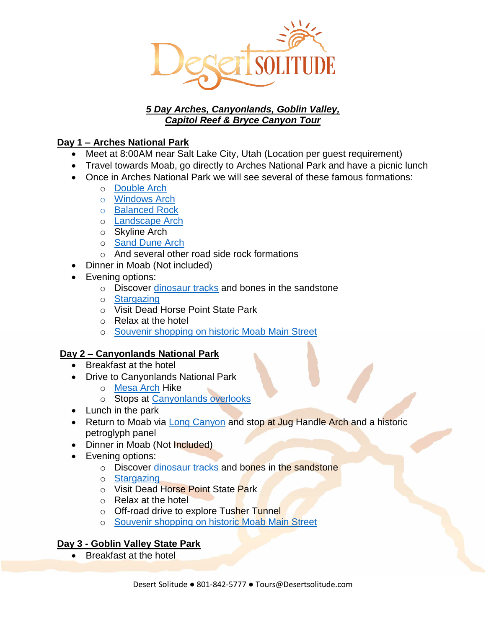

# *5 Day Arches, Canyonlands, Goblin Valley, Capitol Reef & Bryce Canyon Tour*

# **Day 1 – Arches National Park**

- Meet at 8:00AM near Salt Lake City, Utah (Location per quest requirement)
- Travel towards Moab, go directly to Arches National Park and have a picnic lunch
- Once in Arches National Park we will see several of these famous formations:
	- o [Double Arch](https://www.desertsolitude.com/double-arch/)
	- o [Windows Arch](https://www.desertsolitude.com/windows-arches/)
	- o [Balanced Rock](https://www.desertsolitude.com/balanced-rock/)
	- o [Landscape Arch](https://www.desertsolitude.com/landscape-arch/)
	- o Skyline Arch
	- o [Sand Dune Arch](https://www.desertsolitude.com/sand-dune-arch/)
	- o And several other road side rock formations
- Dinner in Moab (Not included)
- Evening options:
	- o Discover [dinosaur tracks](https://www.desertsolitude.com/jurassic-dinosaurs/) and bones in the sandstone
	- o [Stargazing](https://www.desertsolitude.com/stargazing/)
	- o Visit Dead Horse Point State Park
	- o Relax at the hotel
	- o [Souvenir shopping on historic Moab Main Street](https://www.desertsolitude.com/shopping-in-historic-moab-main-street/)

# **Day 2 – Canyonlands National Park**

- Breakfast at the hotel
- Drive to Canyonlands National Park
	- o [Mesa Arch](https://www.desertsolitude.com/mesa-arch/) Hike
		- o Stops at [Canyonlands overlooks](https://www.desertsolitude.com/canyonlands-overlooks/)
- Lunch in the park
- Return to Moab via [Long Canyon](https://www.desertsolitude.com/long-canyon/) and stop at Jug Handle Arch and a historic petroglyph panel
- Dinner in Moab (Not Included)
- Evening options:
	- o Discover [dinosaur tracks](https://www.desertsolitude.com/jurassic-dinosaurs/) and bones in the sandstone
	- o [Stargazing](https://www.desertsolitude.com/stargazing/)
	- o Visit Dead Horse Point State Park
	- o Relax at the hotel
	- o Off-road drive to explore Tusher Tunnel
	- o [Souvenir shopping on historic Moab Main Street](https://www.desertsolitude.com/shopping-in-historic-moab-main-street/)

# **Day 3 - Goblin Valley State Park**

• Breakfast at the hotel